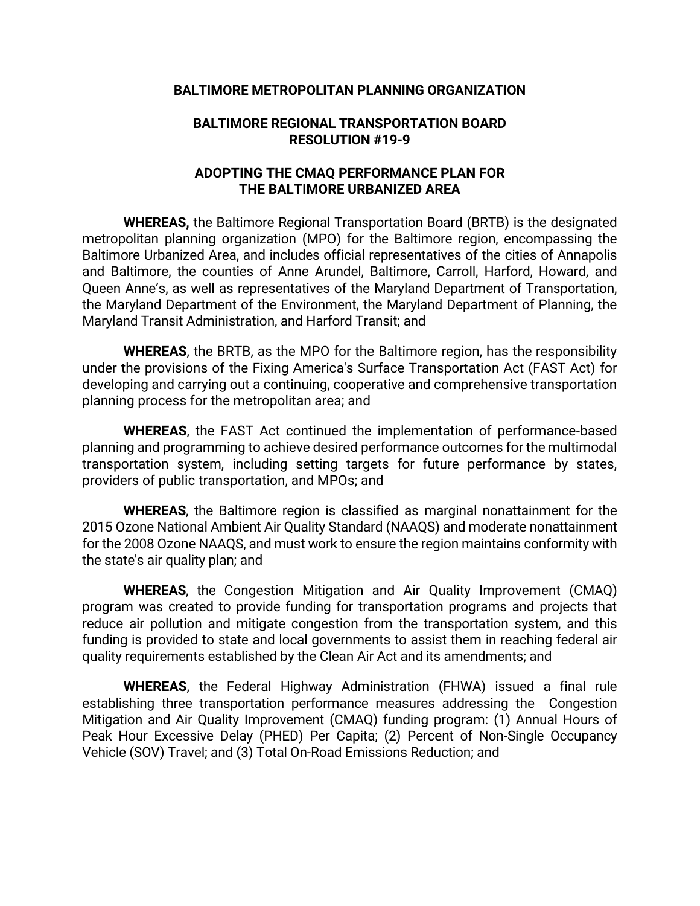#### **BALTIMORE METROPOLITAN PLANNING ORGANIZATION**

#### **BALTIMORE REGIONAL TRANSPORTATION BOARD RESOLUTION #19-9**

#### **ADOPTING THE CMAQ PERFORMANCE PLAN FOR THE BALTIMORE URBANIZED AREA**

**WHEREAS,** the Baltimore Regional Transportation Board (BRTB) is the designated metropolitan planning organization (MPO) for the Baltimore region, encompassing the Baltimore Urbanized Area, and includes official representatives of the cities of Annapolis and Baltimore, the counties of Anne Arundel, Baltimore, Carroll, Harford, Howard, and Queen Anne's, as well as representatives of the Maryland Department of Transportation, the Maryland Department of the Environment, the Maryland Department of Planning, the Maryland Transit Administration, and Harford Transit; and

**WHEREAS**, the BRTB, as the MPO for the Baltimore region, has the responsibility under the provisions of the Fixing America's Surface Transportation Act (FAST Act) for developing and carrying out a continuing, cooperative and comprehensive transportation planning process for the metropolitan area; and

**WHEREAS**, the FAST Act continued the implementation of performance-based planning and programming to achieve desired performance outcomes for the multimodal transportation system, including setting targets for future performance by states, providers of public transportation, and MPOs; and

**WHEREAS**, the Baltimore region is classified as marginal nonattainment for the 2015 Ozone National Ambient Air Quality Standard (NAAQS) and moderate nonattainment for the 2008 Ozone NAAQS, and must work to ensure the region maintains conformity with the state's air quality plan; and

**WHEREAS**, the Congestion Mitigation and Air Quality Improvement (CMAQ) program was created to provide funding for transportation programs and projects that reduce air pollution and mitigate congestion from the transportation system, and this funding is provided to state and local governments to assist them in reaching federal air quality requirements established by the Clean Air Act and its amendments; and

**WHEREAS**, the Federal Highway Administration (FHWA) issued a final rule establishing three transportation performance measures addressing the Congestion Mitigation and Air Quality Improvement (CMAQ) funding program: (1) Annual Hours of Peak Hour Excessive Delay (PHED) Per Capita; (2) Percent of Non-Single Occupancy Vehicle (SOV) Travel; and (3) Total On-Road Emissions Reduction; and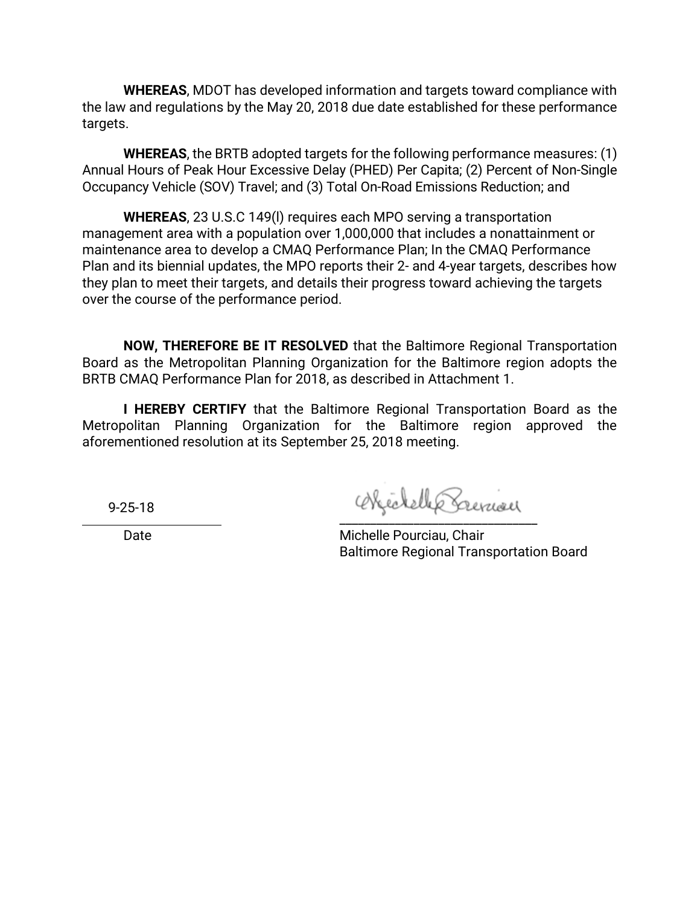**WHEREAS**, MDOT has developed information and targets toward compliance with the law and regulations by the May 20, 2018 due date established for these performance targets.

**WHEREAS**, the BRTB adopted targets for the following performance measures: (1) Annual Hours of Peak Hour Excessive Delay (PHED) Per Capita; (2) Percent of Non-Single Occupancy Vehicle (SOV) Travel; and (3) Total On-Road Emissions Reduction; and

**WHEREAS**, 23 U.S.C 149(l) requires each MPO serving a transportation management area with a population over 1,000,000 that includes a nonattainment or maintenance area to develop a CMAQ Performance Plan; In the CMAQ Performance Plan and its biennial updates, the MPO reports their 2- and 4-year targets, describes how they plan to meet their targets, and details their progress toward achieving the targets over the course of the performance period.

**NOW, THEREFORE BE IT RESOLVED** that the Baltimore Regional Transportation Board as the Metropolitan Planning Organization for the Baltimore region adopts the BRTB CMAQ Performance Plan for 2018, as described in Attachment 1.

**I HEREBY CERTIFY** that the Baltimore Regional Transportation Board as the Metropolitan Planning Organization for the Baltimore region approved the aforementioned resolution at its September 25, 2018 meeting.

9-25-18

\_\_\_\_\_\_\_\_\_\_\_\_\_\_\_\_\_\_\_\_\_\_\_\_\_\_\_\_\_\_\_\_

Date **Date** Michelle Pourciau, Chair Baltimore Regional Transportation Board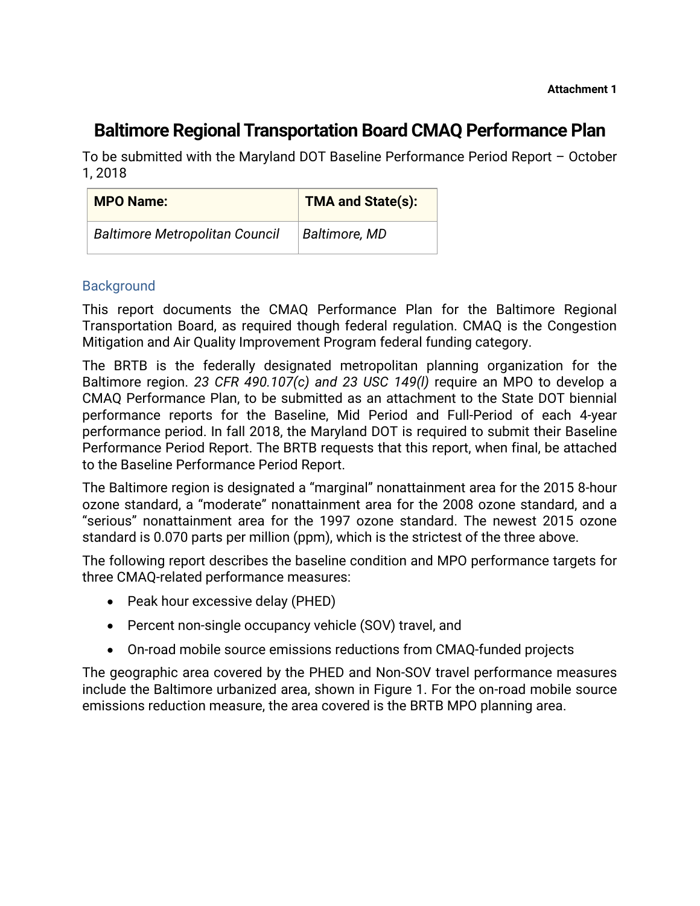# **Baltimore Regional Transportation Board CMAQ Performance Plan**

To be submitted with the Maryland DOT Baseline Performance Period Report – October 1, 2018

| <b>MPO Name:</b>                      | <b>TMA and State(s):</b> |
|---------------------------------------|--------------------------|
| <b>Baltimore Metropolitan Council</b> | Baltimore, MD            |

## **Background**

This report documents the CMAQ Performance Plan for the Baltimore Regional Transportation Board, as required though federal regulation. CMAQ is the Congestion Mitigation and Air Quality Improvement Program federal funding category.

The BRTB is the federally designated metropolitan planning organization for the Baltimore region. *23 CFR 490.107(c) and 23 USC 149(l)* require an MPO to develop a CMAQ Performance Plan, to be submitted as an attachment to the State DOT biennial performance reports for the Baseline, Mid Period and Full-Period of each 4-year performance period. In fall 2018, the Maryland DOT is required to submit their Baseline Performance Period Report. The BRTB requests that this report, when final, be attached to the Baseline Performance Period Report.

The Baltimore region is designated a "marginal" nonattainment area for the 2015 8-hour ozone standard, a "moderate" nonattainment area for the 2008 ozone standard, and a "serious" nonattainment area for the 1997 ozone standard. The newest 2015 ozone standard is 0.070 parts per million (ppm), which is the strictest of the three above.

The following report describes the baseline condition and MPO performance targets for three CMAQ-related performance measures:

- Peak hour excessive delay (PHED)
- Percent non-single occupancy vehicle (SOV) travel, and
- On-road mobile source emissions reductions from CMAQ-funded projects

The geographic area covered by the PHED and Non-SOV travel performance measures include the Baltimore urbanized area, shown in Figure 1. For the on-road mobile source emissions reduction measure, the area covered is the BRTB MPO planning area.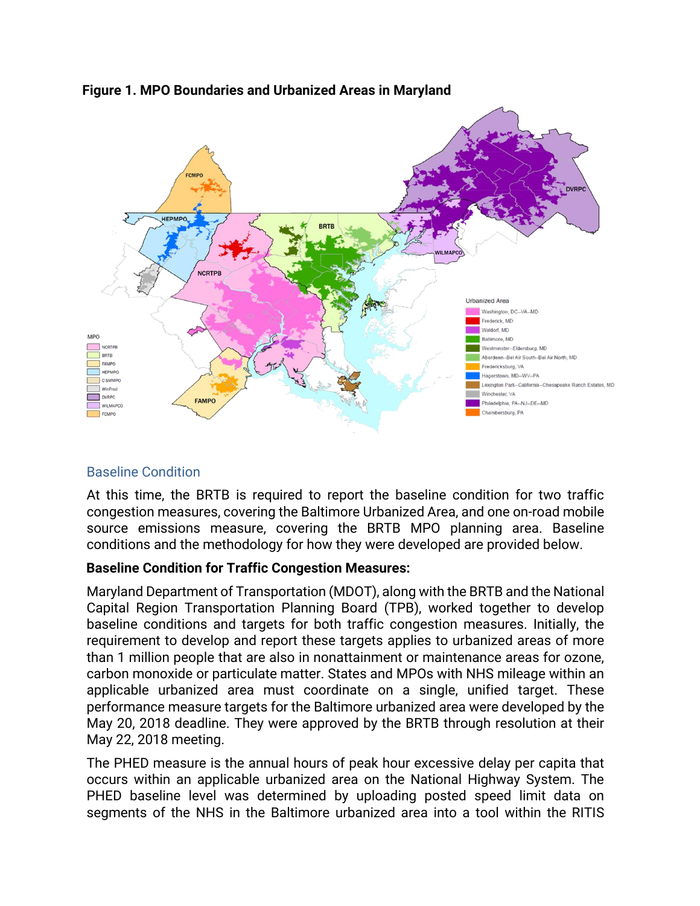

## **Figure 1. MPO Boundaries and Urbanized Areas in Maryland**

# Baseline Condition

At this time, the BRTB is required to report the baseline condition for two traffic congestion measures, covering the Baltimore Urbanized Area, and one on-road mobile source emissions measure, covering the BRTB MPO planning area. Baseline conditions and the methodology for how they were developed are provided below.

# **Baseline Condition for Traffic Congestion Measures:**

Maryland Department of Transportation (MDOT), along with the BRTB and the National Capital Region Transportation Planning Board (TPB), worked together to develop baseline conditions and targets for both traffic congestion measures. Initially, the requirement to develop and report these targets applies to urbanized areas of more than 1 million people that are also in nonattainment or maintenance areas for ozone, carbon monoxide or particulate matter. States and MPOs with NHS mileage within an applicable urbanized area must coordinate on a single, unified target. These performance measure targets for the Baltimore urbanized area were developed by the May 20, 2018 deadline. They were approved by the BRTB through resolution at their May 22, 2018 meeting.

The PHED measure is the annual hours of peak hour excessive delay per capita that occurs within an applicable urbanized area on the National Highway System. The PHED baseline level was determined by uploading posted speed limit data on segments of the NHS in the Baltimore urbanized area into a tool within the RITIS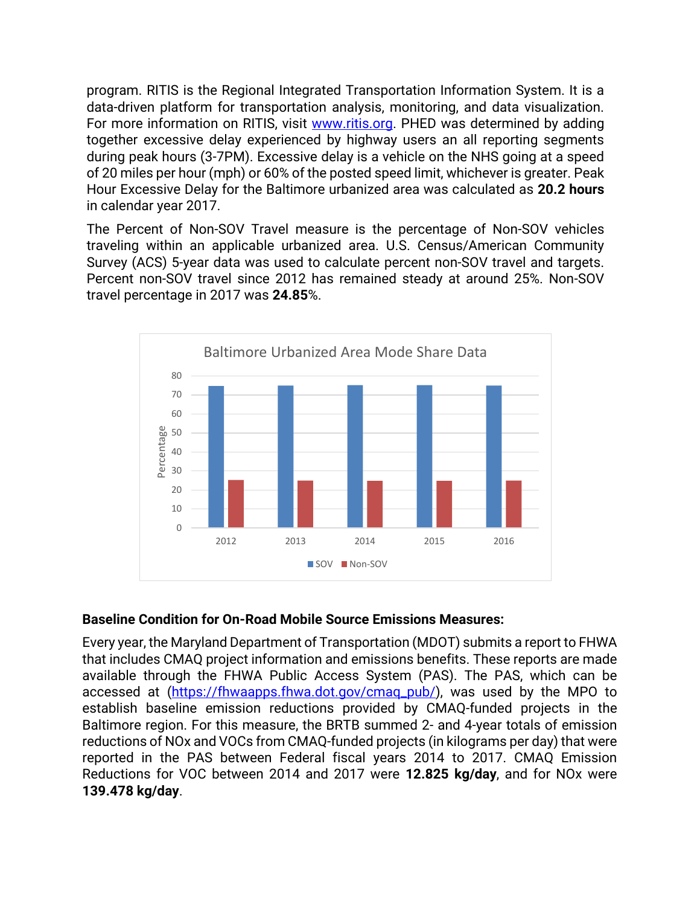program. RITIS is the Regional Integrated Transportation Information System. It is a data-driven platform for transportation analysis, monitoring, and data visualization. For more information on RITIS, visit [www.ritis.org.](http://www.ritis.org/) PHED was determined by adding together excessive delay experienced by highway users an all reporting segments during peak hours (3-7PM). Excessive delay is a vehicle on the NHS going at a speed of 20 miles per hour (mph) or 60% of the posted speed limit, whichever is greater. Peak Hour Excessive Delay for the Baltimore urbanized area was calculated as **20.2 hours** in calendar year 2017.

The Percent of Non-SOV Travel measure is the percentage of Non-SOV vehicles traveling within an applicable urbanized area. U.S. Census/American Community Survey (ACS) 5-year data was used to calculate percent non-SOV travel and targets. Percent non-SOV travel since 2012 has remained steady at around 25%. Non-SOV travel percentage in 2017 was **24.85**%.



### **Baseline Condition for On-Road Mobile Source Emissions Measures:**

Every year, the Maryland Department of Transportation (MDOT) submits a report to FHWA that includes CMAQ project information and emissions benefits. These reports are made available through the FHWA Public Access System (PAS). The PAS, which can be accessed at [\(https://fhwaapps.fhwa.dot.gov/cmaq\\_pub/\)](https://fhwaapps.fhwa.dot.gov/cmaq_pub/), was used by the MPO to establish baseline emission reductions provided by CMAQ-funded projects in the Baltimore region. For this measure, the BRTB summed 2- and 4-year totals of emission reductions of NOx and VOCs from CMAQ-funded projects (in kilograms per day) that were reported in the PAS between Federal fiscal years 2014 to 2017. CMAQ Emission Reductions for VOC between 2014 and 2017 were **12.825 kg/day**, and for NOx were **139.478 kg/day**.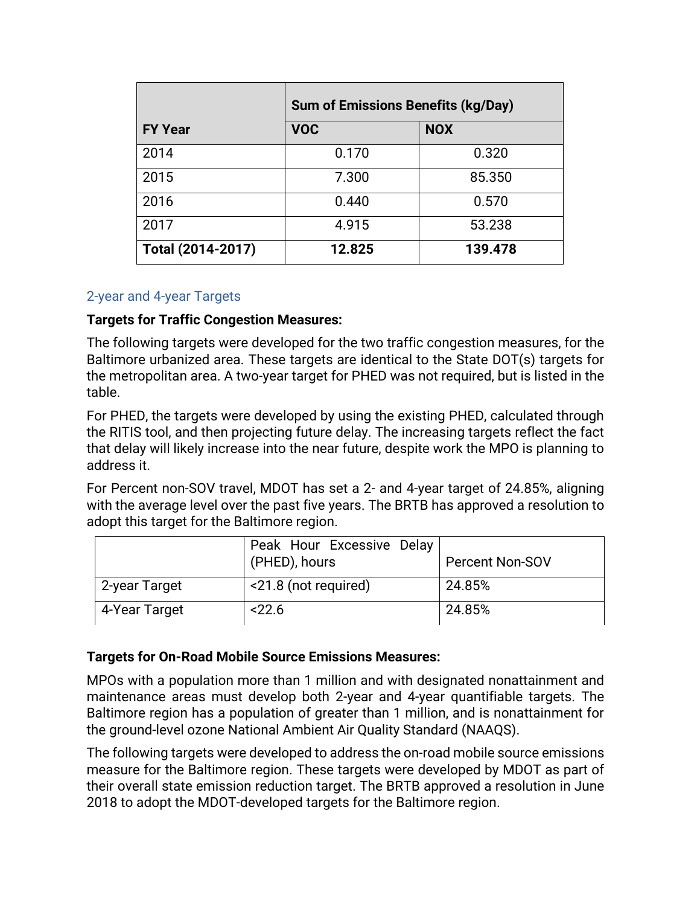|                   | <b>Sum of Emissions Benefits (kg/Day)</b> |            |  |  |
|-------------------|-------------------------------------------|------------|--|--|
| <b>FY Year</b>    | <b>VOC</b>                                | <b>NOX</b> |  |  |
| 2014              | 0.170                                     | 0.320      |  |  |
| 2015              | 7.300                                     | 85.350     |  |  |
| 2016              | 0.440                                     | 0.570      |  |  |
| 2017              | 4.915                                     | 53.238     |  |  |
| Total (2014-2017) | 12.825                                    | 139.478    |  |  |

### 2-year and 4-year Targets

## **Targets for Traffic Congestion Measures:**

The following targets were developed for the two traffic congestion measures, for the Baltimore urbanized area. These targets are identical to the State DOT(s) targets for the metropolitan area. A two-year target for PHED was not required, but is listed in the table.

For PHED, the targets were developed by using the existing PHED, calculated through the RITIS tool, and then projecting future delay. The increasing targets reflect the fact that delay will likely increase into the near future, despite work the MPO is planning to address it.

For Percent non-SOV travel, MDOT has set a 2- and 4-year target of 24.85%, aligning with the average level over the past five years. The BRTB has approved a resolution to adopt this target for the Baltimore region.

|               | Peak Hour Excessive Delay<br>(PHED), hours | <b>Percent Non-SOV</b> |
|---------------|--------------------------------------------|------------------------|
| 2-year Target | <21.8 (not required)                       | 24.85%                 |
| 4-Year Target | 22.6                                       | 24.85%                 |

# **Targets for On-Road Mobile Source Emissions Measures:**

MPOs with a population more than 1 million and with designated nonattainment and maintenance areas must develop both 2-year and 4-year quantifiable targets. The Baltimore region has a population of greater than 1 million, and is nonattainment for the ground-level ozone National Ambient Air Quality Standard (NAAQS).

The following targets were developed to address the on-road mobile source emissions measure for the Baltimore region. These targets were developed by MDOT as part of their overall state emission reduction target. The BRTB approved a resolution in June 2018 to adopt the MDOT-developed targets for the Baltimore region.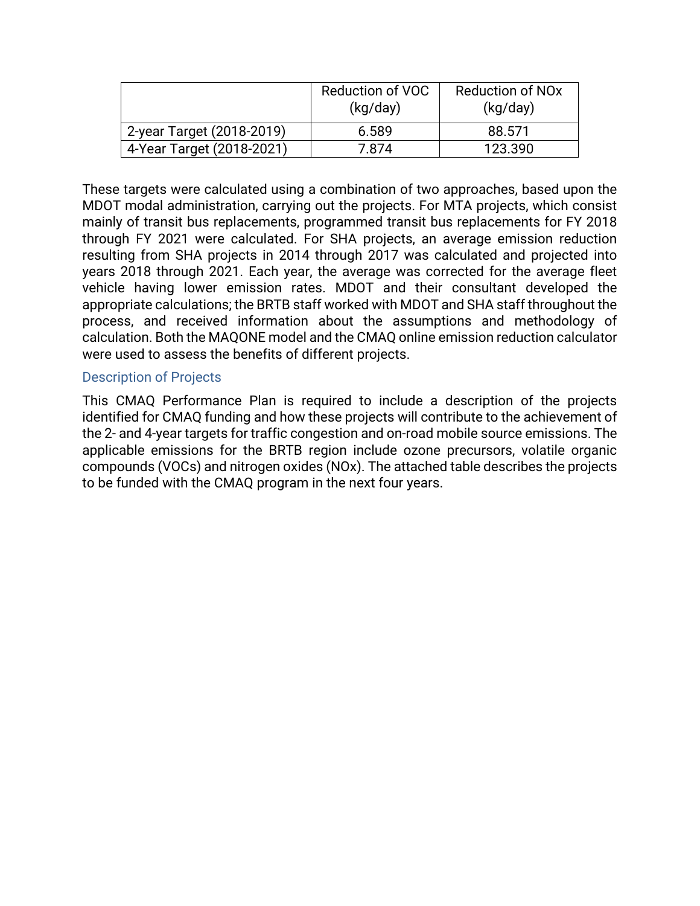|                           | <b>Reduction of VOC</b><br>(kq/day) | <b>Reduction of NOx</b><br>(kq/day) |  |  |  |
|---------------------------|-------------------------------------|-------------------------------------|--|--|--|
| 2-year Target (2018-2019) | 6.589                               | 88.571                              |  |  |  |
| 4-Year Target (2018-2021) | 7.874                               | 123.390                             |  |  |  |

These targets were calculated using a combination of two approaches, based upon the MDOT modal administration, carrying out the projects. For MTA projects, which consist mainly of transit bus replacements, programmed transit bus replacements for FY 2018 through FY 2021 were calculated. For SHA projects, an average emission reduction resulting from SHA projects in 2014 through 2017 was calculated and projected into years 2018 through 2021. Each year, the average was corrected for the average fleet vehicle having lower emission rates. MDOT and their consultant developed the appropriate calculations; the BRTB staff worked with MDOT and SHA staff throughout the process, and received information about the assumptions and methodology of calculation. Both the MAQONE model and the CMAQ online emission reduction calculator were used to assess the benefits of different projects.

#### Description of Projects

This CMAQ Performance Plan is required to include a description of the projects identified for CMAQ funding and how these projects will contribute to the achievement of the 2- and 4-year targets for traffic congestion and on-road mobile source emissions. The applicable emissions for the BRTB region include ozone precursors, volatile organic compounds (VOCs) and nitrogen oxides (NOx). The attached table describes the projects to be funded with the CMAQ program in the next four years.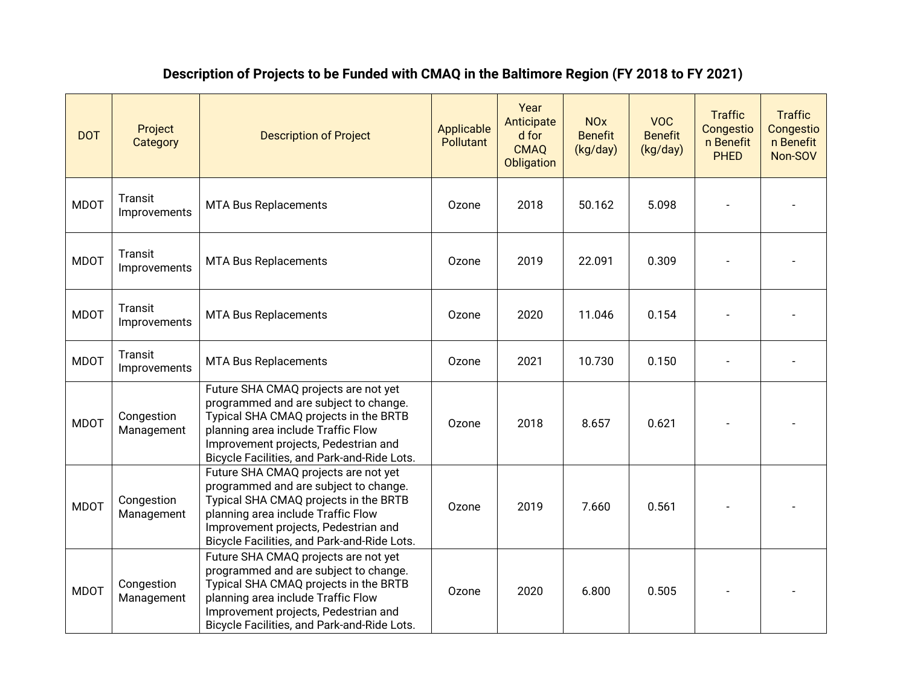# **Description of Projects to be Funded with CMAQ in the Baltimore Region (FY 2018 to FY 2021)**

| <b>DOT</b>  | Project<br>Category      | <b>Description of Project</b>                                                                                                                                                                                                                       | Applicable<br><b>Pollutant</b> | Year<br>Anticipate<br>d for<br><b>CMAQ</b><br><b>Obligation</b> | <b>NO<sub>x</sub></b><br><b>Benefit</b><br>(kg/day) | <b>VOC</b><br><b>Benefit</b><br>(kg/day) | <b>Traffic</b><br>Congestio<br>n Benefit<br><b>PHED</b> | <b>Traffic</b><br>Congestio<br>n Benefit<br>Non-SOV |
|-------------|--------------------------|-----------------------------------------------------------------------------------------------------------------------------------------------------------------------------------------------------------------------------------------------------|--------------------------------|-----------------------------------------------------------------|-----------------------------------------------------|------------------------------------------|---------------------------------------------------------|-----------------------------------------------------|
| <b>MDOT</b> | Transit<br>Improvements  | <b>MTA Bus Replacements</b>                                                                                                                                                                                                                         | Ozone                          | 2018                                                            | 50.162                                              | 5.098                                    |                                                         |                                                     |
| <b>MDOT</b> | Transit<br>Improvements  | <b>MTA Bus Replacements</b>                                                                                                                                                                                                                         | Ozone                          | 2019                                                            | 22.091                                              | 0.309                                    |                                                         |                                                     |
| <b>MDOT</b> | Transit<br>Improvements  | <b>MTA Bus Replacements</b>                                                                                                                                                                                                                         | Ozone                          | 2020                                                            | 11.046                                              | 0.154                                    |                                                         |                                                     |
| <b>MDOT</b> | Transit<br>Improvements  | <b>MTA Bus Replacements</b>                                                                                                                                                                                                                         | Ozone                          | 2021                                                            | 10.730                                              | 0.150                                    |                                                         |                                                     |
| <b>MDOT</b> | Congestion<br>Management | Future SHA CMAQ projects are not yet<br>programmed and are subject to change.<br>Typical SHA CMAQ projects in the BRTB<br>planning area include Traffic Flow<br>Improvement projects, Pedestrian and<br>Bicycle Facilities, and Park-and-Ride Lots. | Ozone                          | 2018                                                            | 8.657                                               | 0.621                                    |                                                         |                                                     |
| <b>MDOT</b> | Congestion<br>Management | Future SHA CMAQ projects are not yet<br>programmed and are subject to change.<br>Typical SHA CMAQ projects in the BRTB<br>planning area include Traffic Flow<br>Improvement projects, Pedestrian and<br>Bicycle Facilities, and Park-and-Ride Lots. | Ozone                          | 2019                                                            | 7.660                                               | 0.561                                    |                                                         |                                                     |
| <b>MDOT</b> | Congestion<br>Management | Future SHA CMAQ projects are not yet<br>programmed and are subject to change.<br>Typical SHA CMAQ projects in the BRTB<br>planning area include Traffic Flow<br>Improvement projects, Pedestrian and<br>Bicycle Facilities, and Park-and-Ride Lots. | Ozone                          | 2020                                                            | 6.800                                               | 0.505                                    |                                                         |                                                     |